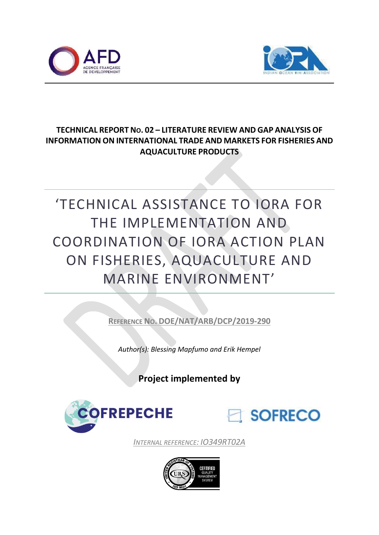



# **TECHNICAL REPORT NO. 02 – LITERATURE REVIEW AND GAP ANALYSIS OF INFORMATION ON INTERNATIONAL TRADE AND MARKETS FOR FISHERIES AND AQUACULTURE PRODUCTS**

# 'TECHNICAL ASSISTANCE TO IORA FOR THE IMPLEMENTATION AND COORDINATION OF IORA ACTION PLAN ON FISHERIES, AQUACULTURE AND MARINE ENVIRONMENT'

**REFERENCE NO. DOE/NAT/ARB/DCP/2019-290**

*Author(s): Blessing Mapfumo and Erik Hempel*

**Project implemented by**





*INTERNAL REFERENCE: IO349RT02A*

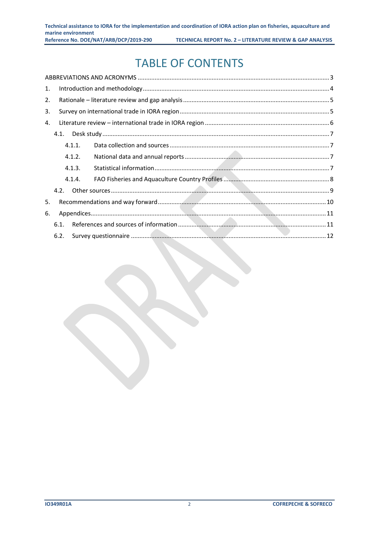# TABLE OF CONTENTS

| 1. |      |        |  |
|----|------|--------|--|
| 2. |      |        |  |
| 3. |      |        |  |
| 4. |      |        |  |
|    | 4.1. |        |  |
|    |      | 4.1.1. |  |
|    |      | 4.1.2. |  |
|    |      | 4.1.3. |  |
|    |      | 4.1.4. |  |
|    | 4.2. |        |  |
| 5. |      |        |  |
| 6. |      |        |  |
|    | 6.1. |        |  |
|    | 6.2. |        |  |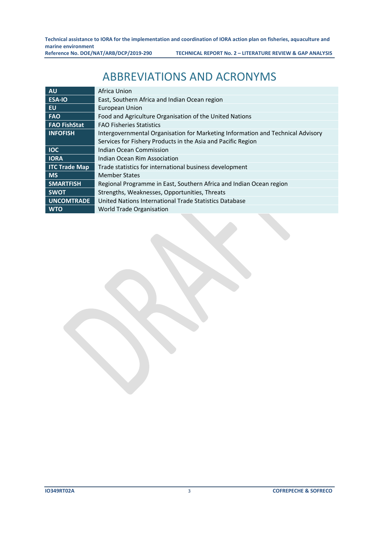# ABBREVIATIONS AND ACRONYMS

<span id="page-2-0"></span>

| <b>AU</b>            | Africa Union                                                                    |
|----------------------|---------------------------------------------------------------------------------|
| <b>ESA-IO</b>        | East, Southern Africa and Indian Ocean region                                   |
| <b>EU</b>            | <b>European Union</b>                                                           |
| <b>FAO</b>           | Food and Agriculture Organisation of the United Nations                         |
| <b>FAO FishStat</b>  | <b>FAO Fisheries Statistics</b>                                                 |
| <b>INFOFISH</b>      | Intergovernmental Organisation for Marketing Information and Technical Advisory |
|                      | Services for Fishery Products in the Asia and Pacific Region                    |
| <b>IOC</b>           | <b>Indian Ocean Commission</b>                                                  |
| <b>IORA</b>          | Indian Ocean Rim Association                                                    |
| <b>ITC Trade Map</b> | Trade statistics for international business development                         |
| <b>MS</b>            | <b>Member States</b>                                                            |
| <b>SMARTFISH</b>     | Regional Programme in East, Southern Africa and Indian Ocean region             |
| <b>SWOT</b>          | Strengths, Weaknesses, Opportunities, Threats                                   |
| <b>UNCOMTRADE</b>    | United Nations International Trade Statistics Database                          |
| <b>WTO</b>           | World Trade Organisation                                                        |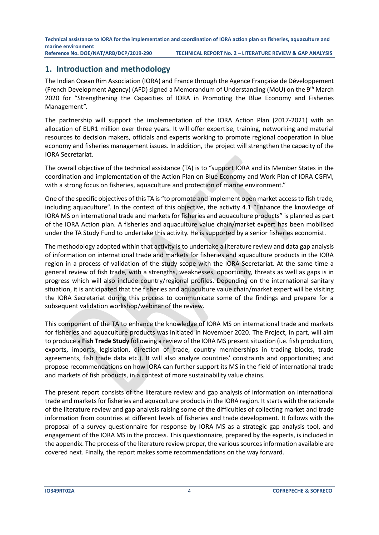# <span id="page-3-0"></span>**1. Introduction and methodology**

The Indian Ocean Rim Association (IORA) and France through the Agence Française de Développement (French Development Agency) (AFD) signed a Memorandum of Understanding (MoU) on the 9<sup>th</sup> March 2020 for "Strengthening the Capacities of IORA in Promoting the Blue Economy and Fisheries Management".

The partnership will support the implementation of the IORA Action Plan (2017-2021) with an allocation of EUR1 million over three years. It will offer expertise, training, networking and material resources to decision makers, officials and experts working to promote regional cooperation in blue economy and fisheries management issues. In addition, the project will strengthen the capacity of the IORA Secretariat.

The overall objective of the technical assistance (TA) is to "support IORA and its Member States in the coordination and implementation of the Action Plan on Blue Economy and Work Plan of IORA CGFM, with a strong focus on fisheries, aquaculture and protection of marine environment."

One of the specific objectives of this TA is "to promote and implement open market access to fish trade, including aquaculture". In the context of this objective, the activity 4.1 "Enhance the knowledge of IORA MS on international trade and markets for fisheries and aquaculture products" is planned as part of the IORA Action plan. A fisheries and aquaculture value chain/market expert has been mobilised under the TA Study Fund to undertake this activity. He is supported by a senior fisheries economist.

The methodology adopted within that activity is to undertake a literature review and data gap analysis of information on international trade and markets for fisheries and aquaculture products in the IORA region in a process of validation of the study scope with the IORA Secretariat. At the same time a general review of fish trade, with a strengths, weaknesses, opportunity, threats as well as gaps is in progress which will also include country/regional profiles. Depending on the international sanitary situation, it is anticipated that the fisheries and aquaculture value chain/market expert will be visiting the IORA Secretariat during this process to communicate some of the findings and prepare for a subsequent validation workshop/webinar of the review.

This component of the TA to enhance the knowledge of IORA MS on international trade and markets for fisheries and aquaculture products was initiated in November 2020. The Project, in part, will aim to produce a **Fish Trade Study** following a review of the IORA MS present situation (i.e. fish production, exports, imports, legislation, direction of trade, country memberships in trading blocks, trade agreements, fish trade data etc.). It will also analyze countries' constraints and opportunities; and propose recommendations on how IORA can further support its MS in the field of international trade and markets of fish products, in a context of more sustainability value chains.

The present report consists of the literature review and gap analysis of information on international trade and markets for fisheries and aquaculture products in the IORA region. It starts with the rationale of the literature review and gap analysis raising some of the difficulties of collecting market and trade information from countries at different levels of fisheries and trade development. It follows with the proposal of a survey questionnaire for response by IORA MS as a strategic gap analysis tool, and engagement of the IORA MS in the process. This questionnaire, prepared by the experts, is included in the appendix. The process of the literature review proper, the various sources information available are covered next. Finally, the report makes some recommendations on the way forward.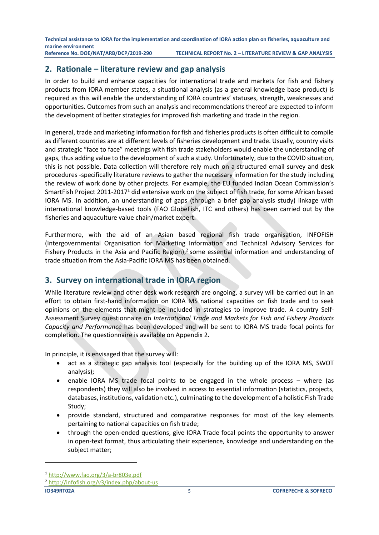# <span id="page-4-0"></span>**2. Rationale – literature review and gap analysis**

In order to build and enhance capacities for international trade and markets for fish and fishery products from IORA member states, a situational analysis (as a general knowledge base product) is required as this will enable the understanding of IORA countries' statuses, strength, weaknesses and opportunities. Outcomes from such an analysis and recommendations thereof are expected to inform the development of better strategies for improved fish marketing and trade in the region.

In general, trade and marketing information for fish and fisheries products is often difficult to compile as different countries are at different levels of fisheries development and trade. Usually, country visits and strategic "face to face" meetings with fish trade stakeholders would enable the understanding of gaps, thus adding value to the development of such a study. Unfortunately, due to the COVID situation, this is not possible. Data collection will therefore rely much on a structured email survey and desk procedures -specifically literature reviews to gather the necessary information for the study including the review of work done by other projects. For example, the EU funded Indian Ocean Commission's SmartFish Project 2011-2017<sup>1</sup> did extensive work on the subject of fish trade, for some African based IORA MS. In addition, an understanding of gaps (through a brief gap analysis study) linkage with international knowledge-based tools (FAO GlobeFish, ITC and others) has been carried out by the fisheries and aquaculture value chain/market expert.

Furthermore, with the aid of an Asian based regional fish trade organisation, INFOFISH (Intergovernmental Organisation for Marketing Information and Technical Advisory Services for Fishery Products in the Asia and Pacific Region),<sup>2</sup> some essential information and understanding of trade situation from the Asia-Pacific IORA MS has been obtained.

# <span id="page-4-1"></span>**3. Survey on international trade in IORA region**

While literature review and other desk work research are ongoing, a survey will be carried out in an effort to obtain first-hand information on IORA MS national capacities on fish trade and to seek opinions on the elements that might be included in strategies to improve trade. A country Self-Assessment Survey questionnaire on *International Trade and Markets for Fish and Fishery Products Capacity and Performance* has been developed and will be sent to IORA MS trade focal points for completion. The questionnaire is available on Appendix 2.

In principle, it is envisaged that the survey will:

- act as a strategic gap analysis tool (especially for the building up of the IORA MS, SWOT analysis);
- enable IORA MS trade focal points to be engaged in the whole process where (as respondents) they will also be involved in access to essential information (statistics, projects, databases, institutions, validation etc.), culminating to the development of a holistic Fish Trade Study;
- provide standard, structured and comparative responses for most of the key elements pertaining to national capacities on fish trade;
- through the open-ended questions, give IORA Trade focal points the opportunity to answer in open-text format, thus articulating their experience, knowledge and understanding on the subject matter;

<sup>1</sup> <http://www.fao.org/3/a-br803e.pdf>

<sup>2</sup> <http://infofish.org/v3/index.php/about-us>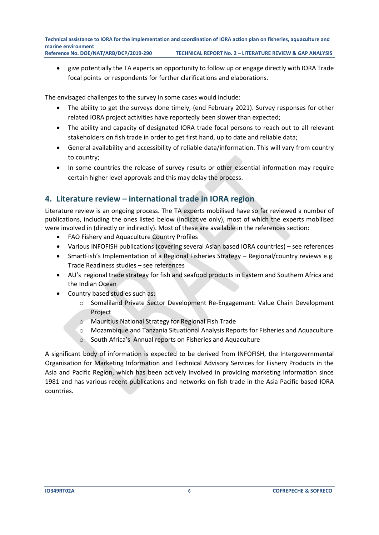• give potentially the TA experts an opportunity to follow up or engage directly with IORA Trade focal points or respondents for further clarifications and elaborations.

The envisaged challenges to the survey in some cases would include:

- The ability to get the surveys done timely, (end February 2021). Survey responses for other related IORA project activities have reportedly been slower than expected;
- The ability and capacity of designated IORA trade focal persons to reach out to all relevant stakeholders on fish trade in order to get first hand, up to date and reliable data;
- General availability and accessibility of reliable data/information. This will vary from country to country;
- In some countries the release of survey results or other essential information may require certain higher level approvals and this may delay the process.

# <span id="page-5-0"></span>**4. Literature review – international trade in IORA region**

Literature review is an ongoing process. The TA experts mobilised have so far reviewed a number of publications, including the ones listed below (indicative only), most of which the experts mobilised were involved in (directly or indirectly). Most of these are available in the references section:

- FAO Fishery and Aquaculture Country Profiles
- Various INFOFISH publications (covering several Asian based IORA countries) see references
- SmartFish's Implementation of a Regional Fisheries Strategy Regional/country reviews e.g. Trade Readiness studies – see references
- AU's regional trade strategy for fish and seafood products in Eastern and Southern Africa and the Indian Ocean
- Country based studies such as:
	- o Somaliland Private Sector Development Re-Engagement: Value Chain Development Project
	- o Mauritius National Strategy for Regional Fish Trade
	- o Mozambique and Tanzania Situational Analysis Reports for Fisheries and Aquaculture
	- o South Africa's Annual reports on Fisheries and Aquaculture

A significant body of information is expected to be derived from INFOFISH, the Intergovernmental Organisation for Marketing Information and Technical Advisory Services for Fishery Products in the Asia and Pacific Region, which has been actively involved in providing marketing information since 1981 and has various recent publications and networks on fish trade in the Asia Pacific based IORA countries.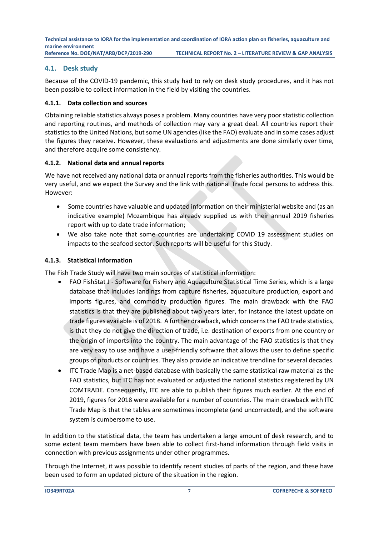# <span id="page-6-0"></span>**4.1. Desk study**

Because of the COVID-19 pandemic, this study had to rely on desk study procedures, and it has not been possible to collect information in the field by visiting the countries.

#### <span id="page-6-1"></span>**4.1.1. Data collection and sources**

Obtaining reliable statistics always poses a problem. Many countries have very poor statistic collection and reporting routines, and methods of collection may vary a great deal. All countries report their statistics to the United Nations, but some UN agencies (like the FAO) evaluate and in some cases adjust the figures they receive. However, these evaluations and adjustments are done similarly over time, and therefore acquire some consistency.

### <span id="page-6-2"></span>**4.1.2. National data and annual reports**

We have not received any national data or annual reports from the fisheries authorities. This would be very useful, and we expect the Survey and the link with national Trade focal persons to address this. However:

- Some countries have valuable and updated information on their ministerial website and (as an indicative example) Mozambique has already supplied us with their annual 2019 fisheries report with up to date trade information;
- We also take note that some countries are undertaking COVID 19 assessment studies on impacts to the seafood sector. Such reports will be useful for this Study.

# <span id="page-6-3"></span>**4.1.3. Statistical information**

The Fish Trade Study will have two main sources of statistical information:

- FAO FishStat J Software for Fishery and Aquaculture Statistical Time Series, which is a large database that includes landings from capture fisheries, aquaculture production, export and imports figures, and commodity production figures. The main drawback with the FAO statistics is that they are published about two years later, for instance the latest update on trade figures available is of 2018. A further drawback, which concerns the FAO trade statistics, is that they do not give the direction of trade, i.e. destination of exports from one country or the origin of imports into the country. The main advantage of the FAO statistics is that they are very easy to use and have a user-friendly software that allows the user to define specific groups of products or countries. They also provide an indicative trendline for several decades.
- ITC Trade Map is a net-based database with basically the same statistical raw material as the FAO statistics, but ITC has not evaluated or adjusted the national statistics registered by UN COMTRADE. Consequently, ITC are able to publish their figures much earlier. At the end of 2019, figures for 2018 were available for a number of countries. The main drawback with ITC Trade Map is that the tables are sometimes incomplete (and uncorrected), and the software system is cumbersome to use.

In addition to the statistical data, the team has undertaken a large amount of desk research, and to some extent team members have been able to collect first-hand information through field visits in connection with previous assignments under other programmes.

Through the Internet, it was possible to identify recent studies of parts of the region, and these have been used to form an updated picture of the situation in the region.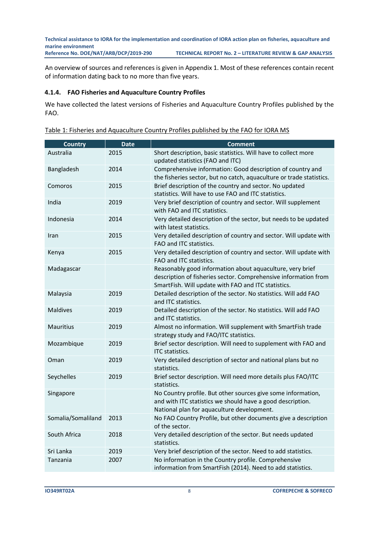An overview of sources and references is given in Appendix 1. Most of these references contain recent of information dating back to no more than five years.

#### <span id="page-7-0"></span>**4.1.4. FAO Fisheries and Aquaculture Country Profiles**

We have collected the latest versions of Fisheries and Aquaculture Country Profiles published by the FAO.

|--|

| <b>Country</b>     | <b>Date</b> | <b>Comment</b>                                                                                                                                                                      |
|--------------------|-------------|-------------------------------------------------------------------------------------------------------------------------------------------------------------------------------------|
| Australia          | 2015        | Short description, basic statistics. Will have to collect more<br>updated statistics (FAO and ITC)                                                                                  |
| Bangladesh         | 2014        | Comprehensive information: Good description of country and<br>the fisheries sector, but no catch, aquaculture or trade statistics.                                                  |
| Comoros            | 2015        | Brief description of the country and sector. No updated<br>statistics. Will have to use FAO and ITC statistics.                                                                     |
| India              | 2019        | Very brief description of country and sector. Will supplement<br>with FAO and ITC statistics.                                                                                       |
| Indonesia          | 2014        | Very detailed description of the sector, but needs to be updated<br>with latest statistics.                                                                                         |
| Iran               | 2015        | Very detailed description of country and sector. Will update with<br>FAO and ITC statistics.                                                                                        |
| Kenya              | 2015        | Very detailed description of country and sector. Will update with<br>FAO and ITC statistics.                                                                                        |
| Madagascar         |             | Reasonably good information about aquaculture, very brief<br>description of fisheries sector. Comprehensive information from<br>SmartFish. Will update with FAO and ITC statistics. |
| Malaysia           | 2019        | Detailed description of the sector. No statistics. Will add FAO<br>and ITC statistics.                                                                                              |
| <b>Maldives</b>    | 2019        | Detailed description of the sector. No statistics. Will add FAO<br>and ITC statistics.                                                                                              |
| <b>Mauritius</b>   | 2019        | Almost no information. Will supplement with SmartFish trade<br>strategy study and FAO/ITC statistics.                                                                               |
| Mozambique         | 2019        | Brief sector description. Will need to supplement with FAO and<br>ITC statistics.                                                                                                   |
| Oman               | 2019        | Very detailed description of sector and national plans but no<br>statistics.                                                                                                        |
| Seychelles         | 2019        | Brief sector description. Will need more details plus FAO/ITC<br>statistics.                                                                                                        |
| Singapore          |             | No Country profile. But other sources give some information,<br>and with ITC statistics we should have a good description.<br>National plan for aquaculture development.            |
| Somalia/Somaliland | 2013        | No FAO Country Profile, but other documents give a description<br>of the sector.                                                                                                    |
| South Africa       | 2018        | Very detailed description of the sector. But needs updated<br>statistics.                                                                                                           |
| Sri Lanka          | 2019        | Very brief description of the sector. Need to add statistics.                                                                                                                       |
| Tanzania           | 2007        | No information in the Country profile. Comprehensive<br>information from SmartFish (2014). Need to add statistics.                                                                  |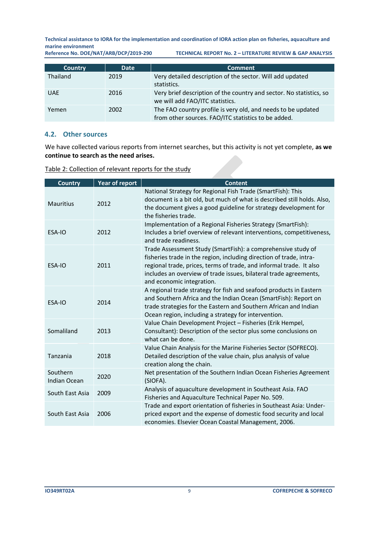**Technical assistance to IORA for the implementation and coordination of IORA action plan on fisheries, aquaculture and**  marine environment<br>Reference No. DOE/NAT/ARB/DCP/2019-290

**RECHNICAL REPORT No. 2 - LITERATURE REVIEW & GAP ANALYSIS** 

| <b>Country</b> | <b>Date</b> | <b>Comment</b>                                                                                                      |
|----------------|-------------|---------------------------------------------------------------------------------------------------------------------|
| Thailand       | 2019        | Very detailed description of the sector. Will add updated<br>statistics.                                            |
| <b>UAE</b>     | 2016        | Very brief description of the country and sector. No statistics, so<br>we will add FAO/ITC statistics.              |
| Yemen          | 2002        | The FAO country profile is very old, and needs to be updated<br>from other sources. FAO/ITC statistics to be added. |

#### <span id="page-8-0"></span>**4.2. Other sources**

We have collected various reports from internet searches, but this activity is not yet complete, **as we continue to search as the need arises.** 

<span id="page-8-1"></span>

| <b>Country</b>                  | <b>Year of report</b> | <b>Content</b>                                                                                                                                                                                                                                                                                               |
|---------------------------------|-----------------------|--------------------------------------------------------------------------------------------------------------------------------------------------------------------------------------------------------------------------------------------------------------------------------------------------------------|
| <b>Mauritius</b>                | 2012                  | National Strategy for Regional Fish Trade (SmartFish): This<br>document is a bit old, but much of what is described still holds. Also,<br>the document gives a good guideline for strategy development for<br>the fisheries trade.                                                                           |
| ESA-IO                          | 2012                  | Implementation of a Regional Fisheries Strategy (SmartFish):<br>Includes a brief overview of relevant interventions, competitiveness,<br>and trade readiness.                                                                                                                                                |
| ESA-IO                          | 2011                  | Trade Assessment Study (SmartFish): a comprehensive study of<br>fisheries trade in the region, including direction of trade, intra-<br>regional trade, prices, terms of trade, and informal trade. It also<br>includes an overview of trade issues, bilateral trade agreements,<br>and economic integration. |
| ESA-IO                          | 2014                  | A regional trade strategy for fish and seafood products in Eastern<br>and Southern Africa and the Indian Ocean (SmartFish): Report on<br>trade strategies for the Eastern and Southern African and Indian<br>Ocean region, including a strategy for intervention.                                            |
| Somaliland                      | 2013                  | Value Chain Development Project - Fisheries (Erik Hempel,<br>Consultant): Description of the sector plus some conclusions on<br>what can be done.                                                                                                                                                            |
| Tanzania                        | 2018                  | Value Chain Analysis for the Marine Fisheries Sector (SOFRECO).<br>Detailed description of the value chain, plus analysis of value<br>creation along the chain.                                                                                                                                              |
| Southern<br><b>Indian Ocean</b> | 2020                  | Net presentation of the Southern Indian Ocean Fisheries Agreement<br>(SIOFA).                                                                                                                                                                                                                                |
| South East Asia                 | 2009                  | Analysis of aquaculture development in Southeast Asia. FAO<br>Fisheries and Aquaculture Technical Paper No. 509.                                                                                                                                                                                             |
| South East Asia                 | 2006                  | Trade and export orientation of fisheries in Southeast Asia: Under-<br>priced export and the expense of domestic food security and local<br>economies. Elsevier Ocean Coastal Management, 2006.                                                                                                              |

Table 2: Collection of relevant reports for the study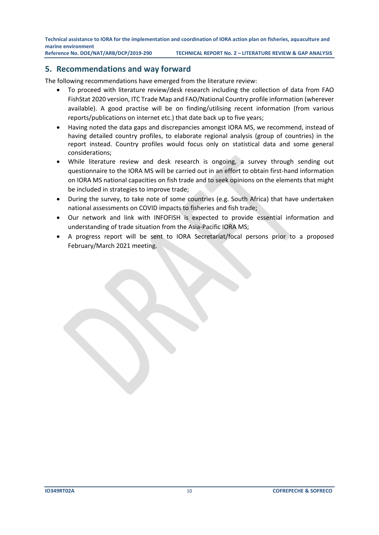**Reference No. DOE/NAT/ARB/DCP/2019-290 TECHNICAL REPORT No. 2 – LITERATURE REVIEW & GAP ANALYSIS**

# **5. Recommendations and way forward**

The following recommendations have emerged from the literature review:

- To proceed with literature review/desk research including the collection of data from FAO FishStat 2020 version, ITC Trade Map and FAO/National Country profile information (wherever available). A good practise will be on finding/utilising recent information (from various reports/publications on internet etc.) that date back up to five years;
- Having noted the data gaps and discrepancies amongst IORA MS, we recommend, instead of having detailed country profiles, to elaborate regional analysis (group of countries) in the report instead. Country profiles would focus only on statistical data and some general considerations;
- While literature review and desk research is ongoing, a survey through sending out questionnaire to the IORA MS will be carried out in an effort to obtain first-hand information on IORA MS national capacities on fish trade and to seek opinions on the elements that might be included in strategies to improve trade;
- During the survey, to take note of some countries (e.g. South Africa) that have undertaken national assessments on COVID impacts to fisheries and fish trade;
- Our network and link with INFOFISH is expected to provide essential information and understanding of trade situation from the Asia-Pacific IORA MS;
- A progress report will be sent to IORA Secretariat/focal persons prior to a proposed February/March 2021 meeting.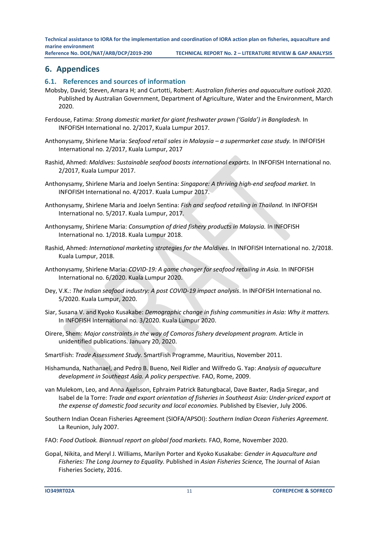**Reference No. DOE/NAT/ARB/DCP/2019-290 TECHNICAL REPORT No. 2 – LITERATURE REVIEW & GAP ANALYSIS**

# <span id="page-10-0"></span>**6. Appendices**

#### <span id="page-10-1"></span>**6.1. References and sources of information**

- Mobsby, David; Steven, Amara H; and Curtotti, Robert: *Australian fisheries and aquaculture outlook 2020*. Published by Australian Government, Department of Agriculture, Water and the Environment, March 2020.
- Ferdouse, Fatima: *Strong domestic market for giant freshwater prawn ('Galda') in Bangladesh.* In INFOFISH International no. 2/2017, Kuala Lumpur 2017.
- Anthonysamy, Shirlene Maria: *Seafood retail sales in Malaysia – a supermarket case study.* In INFOFISH International no. 2/2017, Kuala Lumpur, 2017
- Rashid, Ahmed: *Maldives: Sustainable seafood boosts international exports.* In INFOFISH International no. 2/2017, Kuala Lumpur 2017.
- Anthonysamy, Shirlene Maria and Joelyn Sentina: *Singapore: A thriving high-end seafood market.* In INFOFISH International no. 4/2017. Kuala Lumpur 2017.
- Anthonysamy, Shirlene Maria and Joelyn Sentina: *Fish and seafood retailing in Thailand.* In INFOFISH International no. 5/2017. Kuala Lumpur, 2017.
- Anthonysamy, Shirlene Maria: *Consumption of dried fishery products in Malaysia.* In INFOFISH International no. 1/2018. Kuala Lumpur 2018.
- Rashid, Ahmed: *International marketing strategies for the Maldives*. In INFOFISH International no. 2/2018. Kuala Lumpur, 2018.
- Anthonysamy, Shirlene Maria: *COVID-19: A game changer for seafood retailing in Asia.* In INFOFISH International no. 6/2020. Kuala Lumpur 2020.
- Dey, V.K.: *The Indian seafood industry: A post COVID-19 impact analysis*. In INFOFISH International no. 5/2020. Kuala Lumpur, 2020.
- Siar, Susana V. and Kyoko Kusakabe: *Demographic change in fishing communities in Asia: Why it matters.*  In INFOFISH International no. 3/2020. Kuala Lumpur 2020.
- Oirere, Shem: *Major constraints in the way of Comoros fishery development program*. Article in unidentified publications. January 20, 2020.
- SmartFish: *Trade Assessment Study.* SmartFish Programme, Mauritius, November 2011.
- Hishamunda, Nathanael, and Pedro B. Bueno, Neil Ridler and Wilfredo G. Yap: *Analysis of aquaculture development in Southeast Asia. A policy perspective.* FAO, Rome, 2009.
- van Mulekom, Leo, and Anna Axelsson, Ephraim Patrick Batungbacal, Dave Baxter, Radja Siregar, and Isabel de la Torre: *Trade and export orientation of fisheries in Southeast Asia: Under-priced export at the expense of domestic food security and local economies.* Published by Elsevier, July 2006.
- Southern Indian Ocean Fisheries Agreement (SIOFA/APSOI): *Southern Indian Ocean Fisheries Agreement.*  La Reunion, July 2007.
- FAO: *Food Outlook. Biannual report on global food markets.* FAO, Rome, November 2020.
- Gopal, Nikita, and Meryl J. Williams, Marilyn Porter and Kyoko Kusakabe: *Gender in Aquaculture and Fisheries: The Long Journey to Equality.* Published in *Asian Fisheries Science,* The Journal of Asian Fisheries Society, 2016.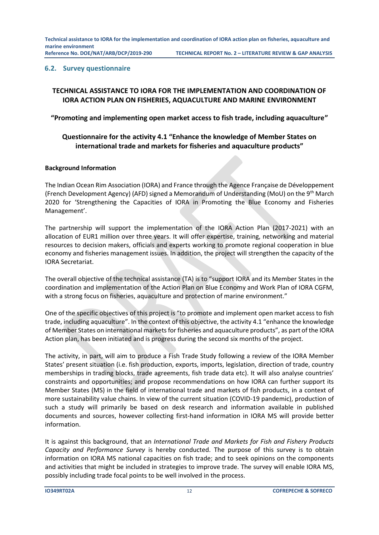#### <span id="page-11-0"></span>**6.2. Survey questionnaire**

# **TECHNICAL ASSISTANCE TO IORA FOR THE IMPLEMENTATION AND COORDINATION OF IORA ACTION PLAN ON FISHERIES, AQUACULTURE AND MARINE ENVIRONMENT**

**"Promoting and implementing open market access to fish trade, including aquaculture"**

# **Questionnaire for the activity 4.1 "Enhance the knowledge of Member States on international trade and markets for fisheries and aquaculture products"**

#### **Background Information**

The Indian Ocean Rim Association (IORA) and France through the Agence Française de Développement (French Development Agency) (AFD) signed a Memorandum of Understanding (MoU) on the 9<sup>th</sup> March 2020 for 'Strengthening the Capacities of IORA in Promoting the Blue Economy and Fisheries Management'.

The partnership will support the implementation of the IORA Action Plan (2017-2021) with an allocation of EUR1 million over three years. It will offer expertise, training, networking and material resources to decision makers, officials and experts working to promote regional cooperation in blue economy and fisheries management issues. In addition, the project will strengthen the capacity of the IORA Secretariat.

The overall objective of the technical assistance (TA) is to "support IORA and its Member States in the coordination and implementation of the Action Plan on Blue Economy and Work Plan of IORA CGFM, with a strong focus on fisheries, aquaculture and protection of marine environment."

One of the specific objectives of this project is "to promote and implement open market access to fish trade, including aquaculture". In the context of this objective, the activity 4.1 "enhance the knowledge of Member States on international markets for fisheries and aquaculture products", as part of the IORA Action plan, has been initiated and is progress during the second six months of the project.

The activity, in part, will aim to produce a Fish Trade Study following a review of the IORA Member States' present situation (i.e. fish production, exports, imports, legislation, direction of trade, country memberships in trading blocks, trade agreements, fish trade data etc). It will also analyse countries' constraints and opportunities; and propose recommendations on how IORA can further support its Member States (MS) in the field of international trade and markets of fish products, in a context of more sustainability value chains. In view of the current situation (COVID-19 pandemic), production of such a study will primarily be based on desk research and information available in published documents and sources, however collecting first-hand information in IORA MS will provide better information.

It is against this background, that an *International Trade and Markets for Fish and Fishery Products Capacity and Performance Survey* is hereby conducted. The purpose of this survey is to obtain information on IORA MS national capacities on fish trade; and to seek opinions on the components and activities that might be included in strategies to improve trade. The survey will enable IORA MS, possibly including trade focal points to be well involved in the process.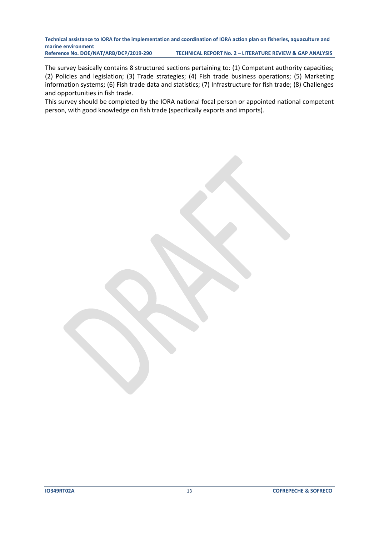The survey basically contains 8 structured sections pertaining to: (1) Competent authority capacities; (2) Policies and legislation; (3) Trade strategies; (4) Fish trade business operations; (5) Marketing information systems; (6) Fish trade data and statistics; (7) Infrastructure for fish trade; (8) Challenges and opportunities in fish trade.

This survey should be completed by the IORA national focal person or appointed national competent person, with good knowledge on fish trade (specifically exports and imports).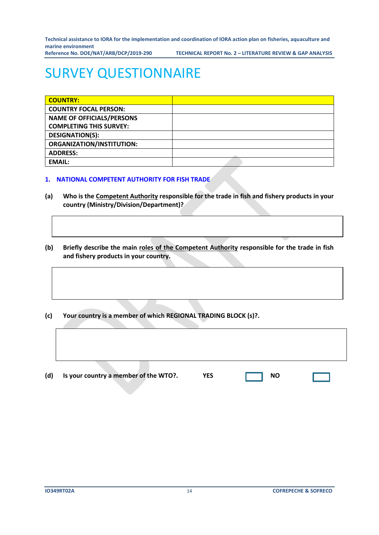**Reference No. DOE/NAT/ARB/DCP/2019-290 TECHNICAL REPORT No. 2 – LITERATURE REVIEW & GAP ANALYSIS**

# SURVEY QUESTIONNAIRE

| <b>COUNTRY:</b>                  |  |
|----------------------------------|--|
| <b>COUNTRY FOCAL PERSON:</b>     |  |
| <b>NAME OF OFFICIALS/PERSONS</b> |  |
| <b>COMPLETING THIS SURVEY:</b>   |  |
| <b>DESIGNATION(S):</b>           |  |
| <b>ORGANIZATION/INSTITUTION:</b> |  |
| <b>ADDRESS:</b>                  |  |
| <b>EMAIL:</b>                    |  |

#### **1. NATIONAL COMPETENT AUTHORITY FOR FISH TRADE**

- **(a) Who is the Competent Authority responsible for the trade in fish and fishery products in your country (Ministry/Division/Department)?**
- **(b) Briefly describe the main roles of the Competent Authority responsible for the trade in fish and fishery products in your country.**
- **(c) Your country is a member of which REGIONAL TRADING BLOCK (s)?.**

| (d) | Is your country a member of the WTO?. | <b>YES</b> | <b>NO</b> |  |
|-----|---------------------------------------|------------|-----------|--|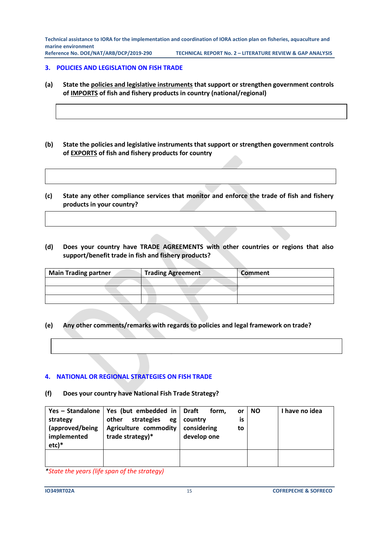**Reference No. DOE/NAT/ARB/DCP/2019-290 TECHNICAL REPORT No. 2 – LITERATURE REVIEW & GAP ANALYSIS**

#### **3. POLICIES AND LEGISLATION ON FISH TRADE**

- **(a) State the policies and legislative instruments that support or strengthen government controls of IMPORTS of fish and fishery products in country (national/regional)**
- **(b) State the policies and legislative instruments that support or strengthen government controls of EXPORTS of fish and fishery products for country**
- **(c) State any other compliance services that monitor and enforce the trade of fish and fishery products in your country?**
- **(d) Does your country have TRADE AGREEMENTS with other countries or regions that also support/benefit trade in fish and fishery products?**

| <b>Main Trading partner</b> | <b>Trading Agreement</b> | Comment |
|-----------------------------|--------------------------|---------|
|                             |                          |         |
|                             |                          |         |
|                             |                          |         |

**(e) Any other comments/remarks with regards to policies and legal framework on trade?**

# **4. NATIONAL OR REGIONAL STRATEGIES ON FISH TRADE**

**(f) Does your country have National Fish Trade Strategy?**

| strategy<br>(approved/being<br>implemented<br>$etc)*$ | Yes - Standalone   Yes (but embedded in   Draft<br>other<br>strategies<br>eg<br><b>Agriculture commodity</b><br>trade strategy)* | form.<br>or<br>is<br>country<br>considering<br>to<br>develop one | <b>NO</b> | I have no idea |
|-------------------------------------------------------|----------------------------------------------------------------------------------------------------------------------------------|------------------------------------------------------------------|-----------|----------------|
|                                                       |                                                                                                                                  |                                                                  |           |                |

*\*State the years (life span of the strategy)*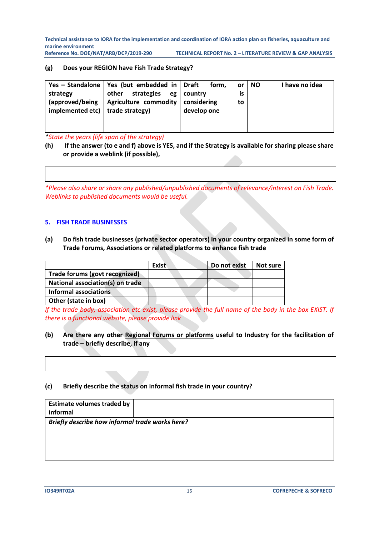#### **(g) Does your REGION have Fish Trade Strategy?**

| strategy<br>implemented etc) $\vert$ trade strategy) | Yes - Standalone   Yes (but embedded in   Draft<br>strategies<br>other<br>$\alpha$ (approved/being   Agriculture commodity   considering | form.<br>or<br>eg country<br>İS<br>to<br>develop one | <b>NO</b> | I have no idea |
|------------------------------------------------------|------------------------------------------------------------------------------------------------------------------------------------------|------------------------------------------------------|-----------|----------------|
|                                                      |                                                                                                                                          |                                                      |           |                |

*\*State the years (life span of the strategy)*

**(h) If the answer (to e and f) above is YES, and if the Strategy is available for sharing please share or provide a weblink (if possible),** 

*\*Please also share or share any published/unpublished documents of relevance/interest on Fish Trade. Weblinks to published documents would be useful.* 

#### **5. FISH TRADE BUSINESSES**

**(a) Do fish trade businesses (private sector operators) in your country organized in some form of Trade Forums, Associations or related platforms to enhance fish trade**

|                                  | <b>Exist</b> | Do not exist | Not sure |
|----------------------------------|--------------|--------------|----------|
| Trade forums (govt recognized)   |              |              |          |
| National association(s) on trade |              |              |          |
| <b>Informal associations</b>     |              |              |          |
| Other (state in box)             |              |              |          |

*If the trade body, association etc exist, please provide the full name of the body in the box EXIST. If there is a functional website, please provide link*

#### **(b) Are there any other Regional Forums or platforms useful to Industry for the facilitation of trade – briefly describe, if any**

#### **(c) Briefly describe the status on informal fish trade in your country?**

| <b>Estimate volumes traded by</b><br>informal   |  |
|-------------------------------------------------|--|
| Briefly describe how informal trade works here? |  |
|                                                 |  |
|                                                 |  |
|                                                 |  |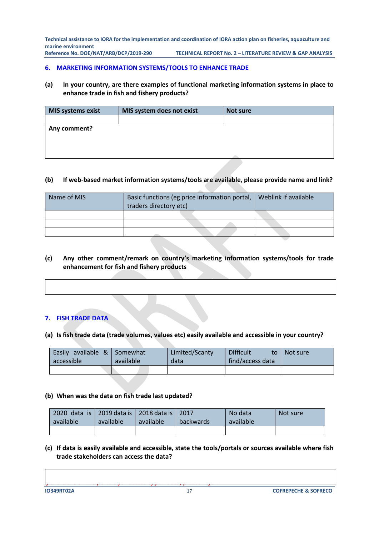**Reference No. DOE/NAT/ARB/DCP/2019-290 TECHNICAL REPORT No. 2 – LITERATURE REVIEW & GAP ANALYSIS**

#### **6. MARKETING INFORMATION SYSTEMS/TOOLS TO ENHANCE TRADE**

#### **(a) In your country, are there examples of functional marketing information systems in place to enhance trade in fish and fishery products?**

| <b>MIS systems exist</b> | MIS system does not exist | Not sure |
|--------------------------|---------------------------|----------|
|                          |                           |          |
| Any comment?             |                           |          |
|                          |                           |          |
|                          |                           |          |
|                          |                           |          |
|                          |                           |          |

#### **(b) If web-based market information systems/tools are available, please provide name and link?**

| Name of MIS | Basic functions (eg price information portal,<br>traders directory etc) | Weblink if available |  |  |  |  |
|-------------|-------------------------------------------------------------------------|----------------------|--|--|--|--|
|             |                                                                         |                      |  |  |  |  |
|             |                                                                         |                      |  |  |  |  |
|             |                                                                         |                      |  |  |  |  |

#### **(c) Any other comment/remark on country's marketing information systems/tools for trade enhancement for fish and fishery products**

# **7. FISH TRADE DATA**

**(a) Is fish trade data (trade volumes, values etc) easily available and accessible in your country?**

| Easily available $\&$ Somewhat<br>accessible | available | Limited/Scanty<br>data | <b>Difficult</b><br>to<br>find/access data | Not sure |
|----------------------------------------------|-----------|------------------------|--------------------------------------------|----------|
|                                              |           |                        |                                            |          |

#### **(b) When was the data on fish trade last updated?**

*If there are online portals for access of fish data, please refer.*

| 2020 data is 2019 data is 2018 data is 2017<br>available | available | available | backwards | No data<br>available | Not sure |
|----------------------------------------------------------|-----------|-----------|-----------|----------------------|----------|
|                                                          |           |           |           |                      |          |

**(c) If data is easily available and accessible, state the tools/portals or sources available where fish trade stakeholders can access the data?**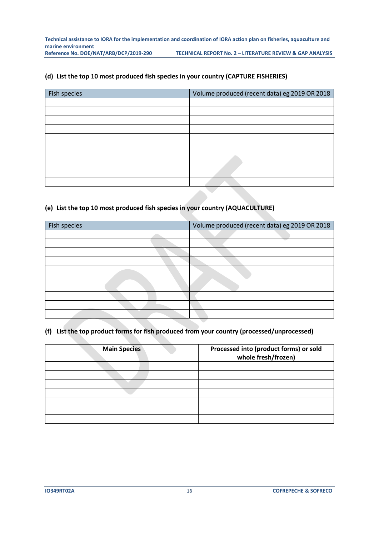#### **(d) List the top 10 most produced fish species in your country (CAPTURE FISHERIES)**

| Fish species | Volume produced (recent data) eg 2019 OR 2018 |
|--------------|-----------------------------------------------|
|              |                                               |
|              |                                               |
|              |                                               |
|              |                                               |
|              |                                               |
|              |                                               |
|              |                                               |
|              |                                               |
|              |                                               |
|              |                                               |

### **(e) List the top 10 most produced fish species in your country (AQUACULTURE)**

| Fish species | Volume produced (recent data) eg 2019 OR 2018 |
|--------------|-----------------------------------------------|
|              |                                               |
|              |                                               |
|              |                                               |
|              |                                               |
|              |                                               |
|              |                                               |
|              |                                               |
|              |                                               |
|              |                                               |
|              |                                               |

#### **(f) List the top product forms for fish produced from your country (processed/unprocessed)**

| <b>Main Species</b> | Processed into (product forms) or sold<br>whole fresh/frozen) |
|---------------------|---------------------------------------------------------------|
|                     |                                                               |
|                     |                                                               |
|                     |                                                               |
|                     |                                                               |
|                     |                                                               |
|                     |                                                               |
|                     |                                                               |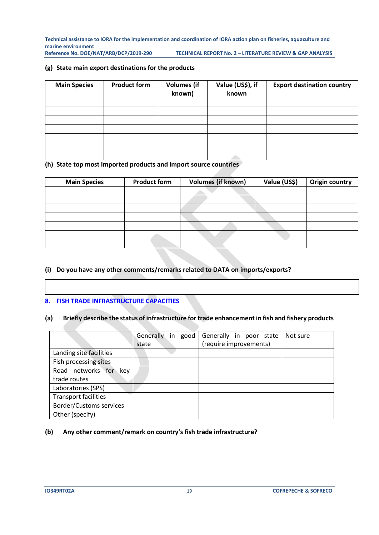**(g) State main export destinations for the products**

| <b>Main Species</b> | <b>Product form</b> | <b>Volumes</b> (if<br>known) | Value (US\$), if<br>known | <b>Export destination country</b> |
|---------------------|---------------------|------------------------------|---------------------------|-----------------------------------|
|                     |                     |                              |                           |                                   |
|                     |                     |                              |                           |                                   |
|                     |                     |                              |                           |                                   |
|                     |                     |                              |                           |                                   |
|                     |                     |                              |                           |                                   |
|                     |                     |                              |                           |                                   |
|                     |                     |                              |                           |                                   |

**(h) State top most imported products and import source countries** 

| <b>Main Species</b> | <b>Volumes (if known)</b><br><b>Product form</b> |  | Value (US\$) | Origin country |
|---------------------|--------------------------------------------------|--|--------------|----------------|
|                     |                                                  |  |              |                |
|                     |                                                  |  |              |                |
|                     |                                                  |  |              |                |
|                     |                                                  |  |              |                |
|                     |                                                  |  |              |                |
|                     |                                                  |  |              |                |
|                     |                                                  |  |              |                |

# **(i) Do you have any other comments/remarks related to DATA on imports/exports?**

#### **8. FISH TRADE INFRASTRUCTURE CAPACITIES**

#### **(a) Briefly describe the status of infrastructure for trade enhancement in fish and fishery products**

|                                | Generally<br>in good | Generally in poor state | Not sure |
|--------------------------------|----------------------|-------------------------|----------|
|                                | state                | (require improvements)  |          |
| Landing site facilities        |                      |                         |          |
| Fish processing sites          |                      |                         |          |
| Road networks for<br>kev       |                      |                         |          |
| trade routes                   |                      |                         |          |
| Laboratories (SPS)             |                      |                         |          |
| <b>Transport facilities</b>    |                      |                         |          |
| <b>Border/Customs services</b> |                      |                         |          |
| Other (specify)                |                      |                         |          |

#### **(b) Any other comment/remark on country's fish trade infrastructure?**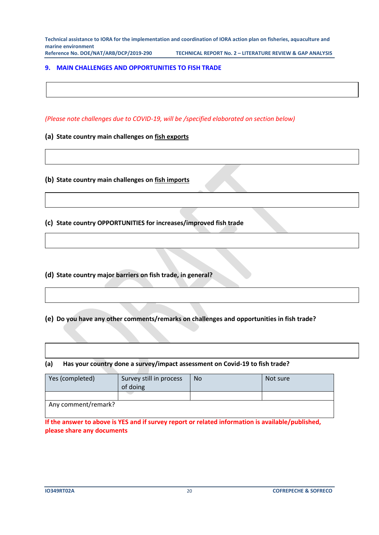**Reference No. DOE/NAT/ARB/DCP/2019-290 TECHNICAL REPORT No. 2 – LITERATURE REVIEW & GAP ANALYSIS**

#### **9. MAIN CHALLENGES AND OPPORTUNITIES TO FISH TRADE**

*(Please note challenges due to COVID-19, will be /specified elaborated on section below)*

**(a) State country main challenges on fish exports**

**(b) State country main challenges on fish imports**

**(c) State country OPPORTUNITIES for increases/improved fish trade**

**(d) State country major barriers on fish trade, in general?**

**8. COVID-19 and FISH TRADE**

**(e) Do you have any other comments/remarks on challenges and opportunities in fish trade?**

#### **(a) Has your country done a survey/impact assessment on Covid-19 to fish trade?**

| Yes (completed)     | Survey still in process<br>of doing | No | Not sure |
|---------------------|-------------------------------------|----|----------|
|                     |                                     |    |          |
| Any comment/remark? |                                     |    |          |

**If the answer to above is YES and if survey report or related information is available/published, please share any documents**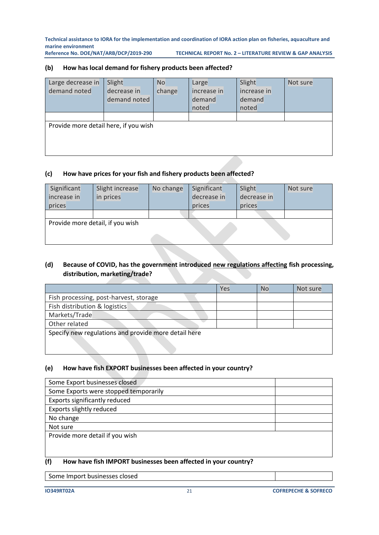**Technical assistance to IORA for the implementation and coordination of IORA action plan on fisheries, aquaculture and**  marine environment<br>Reference No. DOE/NAT/ARB/DCP/2019-290

**RECHNICAL REPORT No. 2 - LITERATURE REVIEW & GAP ANALYSIS** 

#### **(b) How has local demand for fishery products been affected?**

| Large decrease in                     | Slight       | N <sub>o</sub> | Large       | Slight      | Not sure |
|---------------------------------------|--------------|----------------|-------------|-------------|----------|
| demand noted                          | decrease in  | change         | increase in | increase in |          |
|                                       | demand noted |                | demand      | demand      |          |
|                                       |              |                | noted       | noted       |          |
|                                       |              |                |             |             |          |
| Provide more detail here, if you wish |              |                |             |             |          |
|                                       |              |                |             |             |          |
|                                       |              |                |             |             |          |
|                                       |              |                |             |             |          |

#### **(c) How have prices for your fish and fishery products been affected?**

| Significant                      | Slight increase | No change | Significant | Slight      | Not sure |
|----------------------------------|-----------------|-----------|-------------|-------------|----------|
| increase in                      | in prices       |           | decrease in | decrease in |          |
| prices                           |                 |           | prices      | prices      |          |
|                                  |                 |           |             |             |          |
| Provide more detail, if you wish |                 |           |             |             |          |
|                                  |                 |           |             |             |          |
|                                  |                 |           |             |             |          |

## **(d) Because of COVID, has the government introduced new regulations affecting fish processing, distribution, marketing/trade?**

|                                                      | Yes | No | Not sure |
|------------------------------------------------------|-----|----|----------|
| Fish processing, post-harvest, storage               |     |    |          |
| Fish distribution & logistics                        |     |    |          |
| Markets/Trade                                        |     |    |          |
| Other related                                        |     |    |          |
| Specify new regulations and provide more detail here |     |    |          |

#### **(e) How have fish EXPORT businesses been affected in your country?**

| Some Export businesses closed         |  |
|---------------------------------------|--|
| Some Exports were stopped temporarily |  |
| Exports significantly reduced         |  |
| Exports slightly reduced              |  |
| No change                             |  |
| Not sure                              |  |
| Provide more detail if you wish       |  |
|                                       |  |

#### **(f) How have fish IMPORT businesses been affected in your country?**

Some Import businesses closed